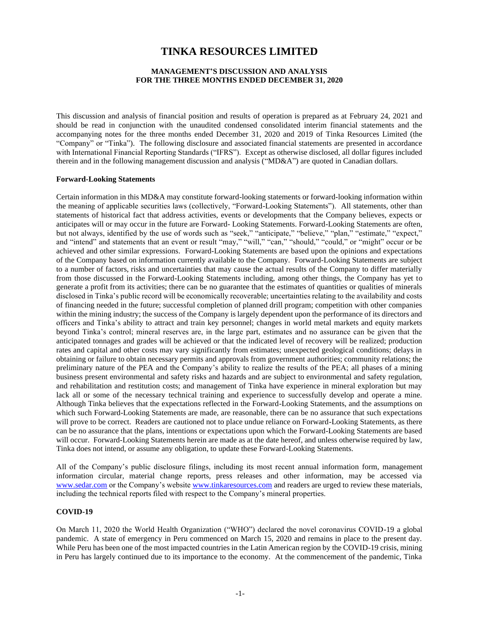# **TINKA RESOURCES LIMITED**

# **MANAGEMENT'S DISCUSSION AND ANALYSIS FOR THE THREE MONTHS ENDED DECEMBER 31, 2020**

This discussion and analysis of financial position and results of operation is prepared as at February 24, 2021 and should be read in conjunction with the unaudited condensed consolidated interim financial statements and the accompanying notes for the three months ended December 31, 2020 and 2019 of Tinka Resources Limited (the "Company" or "Tinka"). The following disclosure and associated financial statements are presented in accordance with International Financial Reporting Standards ("IFRS"). Except as otherwise disclosed, all dollar figures included therein and in the following management discussion and analysis ("MD&A") are quoted in Canadian dollars.

### **Forward-Looking Statements**

Certain information in this MD&A may constitute forward-looking statements or forward-looking information within the meaning of applicable securities laws (collectively, "Forward-Looking Statements"). All statements, other than statements of historical fact that address activities, events or developments that the Company believes, expects or anticipates will or may occur in the future are Forward- Looking Statements. Forward-Looking Statements are often, but not always, identified by the use of words such as "seek," "anticipate," "believe," "plan," "estimate," "expect," and "intend" and statements that an event or result "may," "will," "can," "should," "could," or "might" occur or be achieved and other similar expressions. Forward-Looking Statements are based upon the opinions and expectations of the Company based on information currently available to the Company. Forward-Looking Statements are subject to a number of factors, risks and uncertainties that may cause the actual results of the Company to differ materially from those discussed in the Forward-Looking Statements including, among other things, the Company has yet to generate a profit from its activities; there can be no guarantee that the estimates of quantities or qualities of minerals disclosed in Tinka's public record will be economically recoverable; uncertainties relating to the availability and costs of financing needed in the future; successful completion of planned drill program; competition with other companies within the mining industry; the success of the Company is largely dependent upon the performance of its directors and officers and Tinka's ability to attract and train key personnel; changes in world metal markets and equity markets beyond Tinka's control; mineral reserves are, in the large part, estimates and no assurance can be given that the anticipated tonnages and grades will be achieved or that the indicated level of recovery will be realized; production rates and capital and other costs may vary significantly from estimates; unexpected geological conditions; delays in obtaining or failure to obtain necessary permits and approvals from government authorities; community relations; the preliminary nature of the PEA and the Company's ability to realize the results of the PEA; all phases of a mining business present environmental and safety risks and hazards and are subject to environmental and safety regulation, and rehabilitation and restitution costs; and management of Tinka have experience in mineral exploration but may lack all or some of the necessary technical training and experience to successfully develop and operate a mine. Although Tinka believes that the expectations reflected in the Forward-Looking Statements, and the assumptions on which such Forward-Looking Statements are made, are reasonable, there can be no assurance that such expectations will prove to be correct. Readers are cautioned not to place undue reliance on Forward-Looking Statements, as there can be no assurance that the plans, intentions or expectations upon which the Forward-Looking Statements are based will occur. Forward-Looking Statements herein are made as at the date hereof, and unless otherwise required by law, Tinka does not intend, or assume any obligation, to update these Forward-Looking Statements.

All of the Company's public disclosure filings, including its most recent annual information form, management information circular, material change reports, press releases and other information, may be accessed via [www.sedar.com](http://www.sedar.com/) or the Company's website [www.tinkaresources.com](http://www.tinkaresources.com/) and readers are urged to review these materials, including the technical reports filed with respect to the Company's mineral properties.

### **COVID-19**

On March 11, 2020 the World Health Organization ("WHO") declared the novel coronavirus COVID-19 a global pandemic. A state of emergency in Peru commenced on March 15, 2020 and remains in place to the present day. While Peru has been one of the most impacted countries in the Latin American region by the COVID-19 crisis, mining in Peru has largely continued due to its importance to the economy. At the commencement of the pandemic, Tinka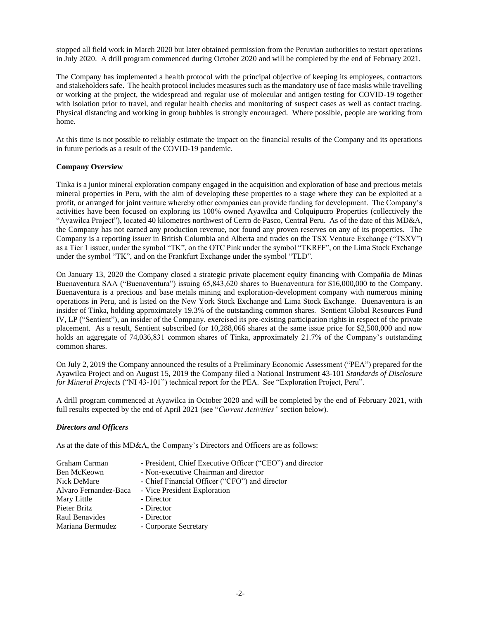stopped all field work in March 2020 but later obtained permission from the Peruvian authorities to restart operations in July 2020. A drill program commenced during October 2020 and will be completed by the end of February 2021.

The Company has implemented a health protocol with the principal objective of keeping its employees, contractors and stakeholders safe. The health protocol includes measures such as the mandatory use of face masks while travelling or working at the project, the widespread and regular use of molecular and antigen testing for COVID-19 together with isolation prior to travel, and regular health checks and monitoring of suspect cases as well as contact tracing. Physical distancing and working in group bubbles is strongly encouraged. Where possible, people are working from home.

At this time is not possible to reliably estimate the impact on the financial results of the Company and its operations in future periods as a result of the COVID-19 pandemic.

# **Company Overview**

Tinka is a junior mineral exploration company engaged in the acquisition and exploration of base and precious metals mineral properties in Peru, with the aim of developing these properties to a stage where they can be exploited at a profit, or arranged for joint venture whereby other companies can provide funding for development. The Company's activities have been focused on exploring its 100% owned Ayawilca and Colquipucro Properties (collectively the "Ayawilca Project"), located 40 kilometres northwest of Cerro de Pasco, Central Peru. As of the date of this MD&A, the Company has not earned any production revenue, nor found any proven reserves on any of its properties. The Company is a reporting issuer in British Columbia and Alberta and trades on the TSX Venture Exchange ("TSXV") as a Tier 1 issuer, under the symbol "TK", on the OTC Pink under the symbol "TKRFF", on the Lima Stock Exchange under the symbol "TK", and on the Frankfurt Exchange under the symbol "TLD".

On January 13, 2020 the Company closed a strategic private placement equity financing with Compañia de Minas Buenaventura SAA ("Buenaventura") issuing 65,843,620 shares to Buenaventura for \$16,000,000 to the Company. Buenaventura is a precious and base metals mining and exploration-development company with numerous mining operations in Peru, and is listed on the New York Stock Exchange and Lima Stock Exchange. Buenaventura is an insider of Tinka, holding approximately 19.3% of the outstanding common shares. Sentient Global Resources Fund IV, LP ("Sentient"), an insider of the Company, exercised its pre-existing participation rights in respect of the private placement. As a result, Sentient subscribed for 10,288,066 shares at the same issue price for \$2,500,000 and now holds an aggregate of 74,036,831 common shares of Tinka, approximately 21.7% of the Company's outstanding common shares.

On July 2, 2019 the Company announced the results of a Preliminary Economic Assessment ("PEA") prepared for the Ayawilca Project and on August 15, 2019 the Company filed a National Instrument 43-101 *Standards of Disclosure for Mineral Projects* ("NI 43-101") technical report for the PEA. See "Exploration Project, Peru".

A drill program commenced at Ayawilca in October 2020 and will be completed by the end of February 2021, with full results expected by the end of April 2021 (see "*Current Activities"* section below).

### *Directors and Officers*

As at the date of this MD&A, the Company's Directors and Officers are as follows:

| - President, Chief Executive Officer ("CEO") and director |
|-----------------------------------------------------------|
| - Non-executive Chairman and director                     |
| - Chief Financial Officer ("CFO") and director            |
| - Vice President Exploration                              |
| - Director                                                |
| - Director                                                |
| - Director                                                |
| - Corporate Secretary                                     |
|                                                           |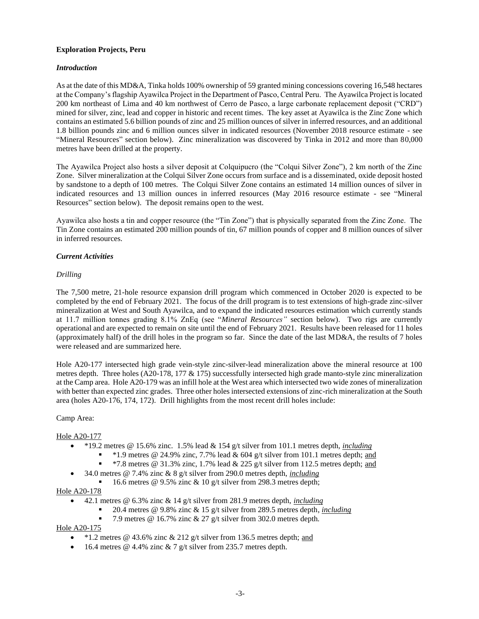# **Exploration Projects, Peru**

# *Introduction*

As at the date of this MD&A, Tinka holds 100% ownership of 59 granted mining concessions covering 16,548 hectares at the Company's flagship Ayawilca Project in the Department of Pasco, Central Peru. The Ayawilca Project is located 200 km northeast of Lima and 40 km northwest of Cerro de Pasco, a large carbonate replacement deposit ("CRD") mined for silver, zinc, lead and copper in historic and recent times. The key asset at Ayawilca is the Zinc Zone which contains an estimated 5.6 billion pounds of zinc and 25 million ounces of silver in inferred resources, and an additional 1.8 billion pounds zinc and 6 million ounces silver in indicated resources (November 2018 resource estimate - see "Mineral Resources" section below). Zinc mineralization was discovered by Tinka in 2012 and more than 80,000 metres have been drilled at the property.

The Ayawilca Project also hosts a silver deposit at Colquipucro (the "Colqui Silver Zone"), 2 km north of the Zinc Zone. Silver mineralization at the Colqui Silver Zone occurs from surface and is a disseminated, oxide deposit hosted by sandstone to a depth of 100 metres. The Colqui Silver Zone contains an estimated 14 million ounces of silver in indicated resources and 13 million ounces in inferred resources (May 2016 resource estimate - see "Mineral Resources" section below). The deposit remains open to the west.

Ayawilca also hosts a tin and copper resource (the "Tin Zone") that is physically separated from the Zinc Zone. The Tin Zone contains an estimated 200 million pounds of tin, 67 million pounds of copper and 8 million ounces of silver in inferred resources.

# *Current Activities*

# *Drilling*

The 7,500 metre, 21-hole resource expansion drill program which commenced in October 2020 is expected to be completed by the end of February 2021. The focus of the drill program is to test extensions of high-grade zinc-silver mineralization at West and South Ayawilca, and to expand the indicated resources estimation which currently stands at 11.7 million tonnes grading 8.1% ZnEq (see "*Mineral Resources"* section below). Two rigs are currently operational and are expected to remain on site until the end of February 2021. Results have been released for 11 holes (approximately half) of the drill holes in the program so far. Since the date of the last MD&A, the results of 7 holes were released and are summarized here.

Hole A20-177 intersected high grade vein-style zinc-silver-lead mineralization above the mineral resource at 100 metres depth. Three holes (A20-178, 177 & 175) successfully intersected high grade manto-style zinc mineralization at the Camp area. Hole A20-179 was an infill hole at the West area which intersected two wide zones of mineralization with better than expected zinc grades. Three other holes intersected extensions of zinc-rich mineralization at the South area (holes A20-176, 174, 172). Drill highlights from the most recent drill holes include:

Camp Area:

# Hole A20-177

- \*19.2 metres @ 15.6% zinc. 1.5% lead & 154 g/t silver from 101.1 metres depth, *including*
	- $*1.9$  metres @ 24.9% zinc, 7.7% lead & 604 g/t silver from 101.1 metres depth; and
	- \*7.8 metres @ 31.3% zinc, 1.7% lead & 225 g/t silver from 112.5 metres depth; and
- 34.0 metres @ 7.4% zinc & 8 g/t silver from 290.0 metres depth, *including*
	- 16.6 metres @ 9.5% zinc & 10 g/t silver from 298.3 metres depth;

# Hole A20-178

- 42.1 metres @ 6.3% zinc & 14 g/t silver from 281.9 metres depth, *including*
	- 20.4 metres @ 9.8% zinc & 15 g/t silver from 289.5 metres depth, *including*
		- 7.9 metres @ 16.7% zinc & 27 g/t silver from 302.0 metres depth*.*

Hole A20-175

- \*1.2 metres @ 43.6% zinc  $\&$  212 g/t silver from 136.5 metres depth; and
- 16.4 metres  $\omega$  4.4% zinc  $\&$  7 g/t silver from 235.7 metres depth.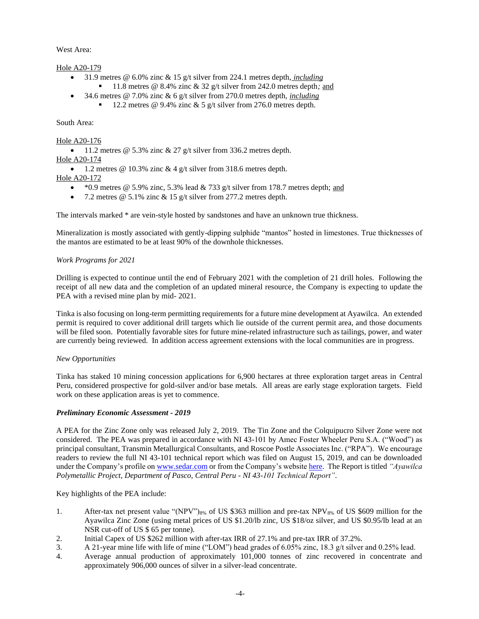West Area:

Hole A20-179

- 31.9 metres @ 6.0% zinc & 15 g/t silver from 224.1 metres depth, *including* ■ 11.8 metres @ 8.4% zinc & 32 g/t silver from 242.0 metres depth; and
- 34.6 metres @ 7.0% zinc & 6 g/t silver from 270.0 metres depth, *including*
	- 12.2 metres @ 9.4% zinc  $& 5$  g/t silver from 276.0 metres depth.

South Area:

Hole A20-176

• 11.2 metres  $\omega$  5.3% zinc  $\&$  27 g/t silver from 336.2 metres depth.

Hole A20-174

• 1.2 metres  $\omega$  10.3% zinc  $\&$  4 g/t silver from 318.6 metres depth.

Hole A20-172

- \*0.9 metres  $\omega$  5.9% zinc, 5.3% lead  $\&$  733 g/t silver from 178.7 metres depth; and
- 7.2 metres @ 5.1% zinc & 15 g/t silver from 277.2 metres depth.

The intervals marked \* are vein-style hosted by sandstones and have an unknown true thickness.

Mineralization is mostly associated with gently-dipping sulphide "mantos" hosted in limestones. True thicknesses of the mantos are estimated to be at least 90% of the downhole thicknesses.

# *Work Programs for 2021*

Drilling is expected to continue until the end of February 2021 with the completion of 21 drill holes. Following the receipt of all new data and the completion of an updated mineral resource, the Company is expecting to update the PEA with a revised mine plan by mid- 2021.

Tinka is also focusing on long-term permitting requirements for a future mine development at Ayawilca. An extended permit is required to cover additional drill targets which lie outside of the current permit area, and those documents will be filed soon. Potentially favorable sites for future mine-related infrastructure such as tailings, power, and water are currently being reviewed. In addition access agreement extensions with the local communities are in progress.

# *New Opportunities*

Tinka has staked 10 mining concession applications for 6,900 hectares at three exploration target areas in Central Peru, considered prospective for gold-silver and/or base metals. All areas are early stage exploration targets. Field work on these application areas is yet to commence.

# *Preliminary Economic Assessment - 2019*

A PEA for the Zinc Zone only was released July 2, 2019. The Tin Zone and the Colquipucro Silver Zone were not considered. The PEA was prepared in accordance with NI 43-101 by Amec Foster Wheeler Peru S.A. ("Wood") as principal consultant, Transmin Metallurgical Consultants, and Roscoe Postle Associates Inc. ("RPA"). We encourage readers to review the full NI 43-101 technical report which was filed on August 15, 2019, and can be downloaded under the Company's profile o[n www.sedar.com](http://www.sedar.com/) or from the Company's website [here.](https://www.tinkaresources.com/assets/docs/reports/Tinka%20Ayawilca%20TR%20Final.pdf) The Report is titled *"Ayawilca Polymetallic Project, Department of Pasco, Central Peru - NI 43-101 Technical Report"*.

Key highlights of the PEA include:

- 1. After-tax net present value "(NPV")<sub>8%</sub> of US \$363 million and pre-tax NPV<sub>8%</sub> of US \$609 million for the Ayawilca Zinc Zone (using metal prices of US \$1.20/lb zinc, US \$18/oz silver, and US \$0.95/lb lead at an NSR cut-off of US \$ 65 per tonne).
- 2. Initial Capex of US \$262 million with after-tax IRR of 27.1% and pre-tax IRR of 37.2%.
- 3. A 21-year mine life with life of mine ("LOM") head grades of 6.05% zinc, 18.3 g/t silver and 0.25% lead.
- 4. Average annual production of approximately 101,000 tonnes of zinc recovered in concentrate and approximately 906,000 ounces of silver in a silver-lead concentrate.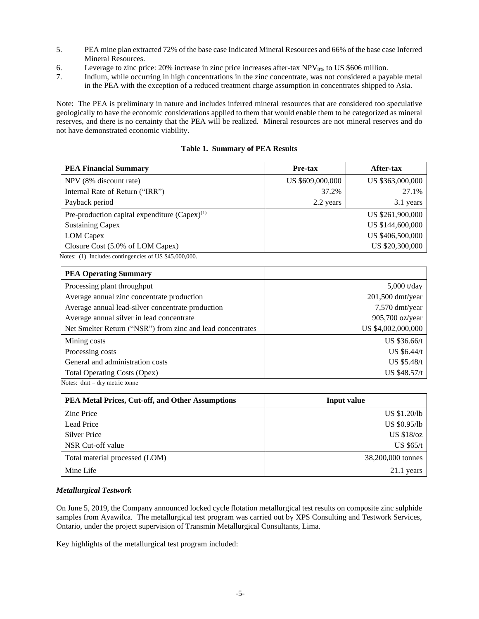- 5. PEA mine plan extracted 72% of the base case Indicated Mineral Resources and 66% of the base case Inferred Mineral Resources.
- 6. Leverage to zinc price: 20% increase in zinc price increases after-tax NPV8% to US \$606 million.
- 7. Indium, while occurring in high concentrations in the zinc concentrate, was not considered a payable metal in the PEA with the exception of a reduced treatment charge assumption in concentrates shipped to Asia.

Note: The PEA is preliminary in nature and includes inferred mineral resources that are considered too speculative geologically to have the economic considerations applied to them that would enable them to be categorized as mineral reserves, and there is no certainty that the PEA will be realized. Mineral resources are not mineral reserves and do not have demonstrated economic viability.

| <b>PEA Financial Summary</b>                          | <b>Pre-tax</b>   | After-tax        |
|-------------------------------------------------------|------------------|------------------|
| NPV (8% discount rate)                                | US \$609,000,000 | US \$363,000,000 |
| Internal Rate of Return ("IRR")                       | 37.2%            | 27.1%            |
| Payback period                                        | 2.2 years        | 3.1 years        |
| Pre-production capital expenditure $(Capex)^{(1)}$    |                  | US \$261,900,000 |
| <b>Sustaining Capex</b>                               |                  | US \$144,600,000 |
| <b>LOM</b> Capex                                      |                  | US \$406,500,000 |
| Closure Cost (5.0% of LOM Capex)                      |                  | US \$20,300,000  |
| Notes: (1) Includes contingencies of US \$45,000,000. |                  |                  |

| <b>Table 1. Summary of PEA Results</b> |  |  |
|----------------------------------------|--|--|
|----------------------------------------|--|--|

| <b>PEA Operating Summary</b>                               |                    |
|------------------------------------------------------------|--------------------|
| Processing plant throughput                                | $5,000$ t/day      |
| Average annual zinc concentrate production                 | 201,500 dmt/year   |
| Average annual lead-silver concentrate production          | 7,570 dmt/year     |
| Average annual silver in lead concentrate                  | 905,700 oz/year    |
| Net Smelter Return ("NSR") from zinc and lead concentrates | US \$4,002,000,000 |
| Mining costs                                               | US \$36.66/t       |
| Processing costs                                           | US \$6.44/t        |
| General and administration costs                           | US \$5.48/t        |
| Total Operating Costs (Opex)                               | US \$48.57/t       |

Notes: dmt = dry metric tonne

| PEA Metal Prices, Cut-off, and Other Assumptions | <b>Input value</b> |
|--------------------------------------------------|--------------------|
| <b>Zinc Price</b>                                | US \$1.20/lb       |
| Lead Price                                       | US \$0.95/lb       |
| <b>Silver Price</b>                              | <b>US \$18/oz</b>  |
| NSR Cut-off value                                | <b>US \$65/t</b>   |
| Total material processed (LOM)                   | 38,200,000 tonnes  |
| Mine Life                                        | $21.1$ years       |

# *Metallurgical Testwork*

On June 5, 2019, the Company announced locked cycle flotation metallurgical test results on composite zinc sulphide samples from Ayawilca. The metallurgical test program was carried out by XPS Consulting and Testwork Services, Ontario, under the project supervision of Transmin Metallurgical Consultants, Lima.

Key highlights of the metallurgical test program included: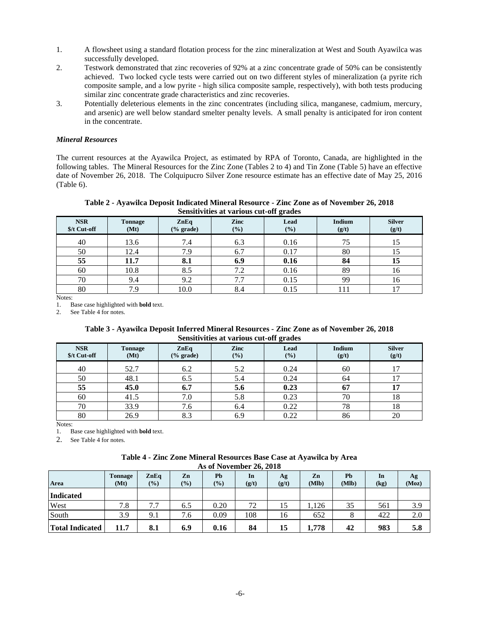- 1. A flowsheet using a standard flotation process for the zinc mineralization at West and South Ayawilca was successfully developed.
- 2. Testwork demonstrated that zinc recoveries of 92% at a zinc concentrate grade of 50% can be consistently achieved. Two locked cycle tests were carried out on two different styles of mineralization (a pyrite rich composite sample, and a low pyrite - high silica composite sample, respectively), with both tests producing similar zinc concentrate grade characteristics and zinc recoveries.
- 3. Potentially deleterious elements in the zinc concentrates (including silica, manganese, cadmium, mercury, and arsenic) are well below standard smelter penalty levels. A small penalty is anticipated for iron content in the concentrate.

### *Mineral Resources*

The current resources at the Ayawilca Project, as estimated by RPA of Toronto, Canada, are highlighted in the following tables. The Mineral Resources for the Zinc Zone (Tables 2 to 4) and Tin Zone (Table 5) have an effective date of November 26, 2018. The Colquipucro Silver Zone resource estimate has an effective date of May 25, 2016 (Table 6).

**Table 2 - Ayawilca Deposit Indicated Mineral Resource - Zinc Zone as of November 26, 2018 Sensitivities at various cut-off grades**

| <b>NSR</b><br>\$/t Cut-off | <b>Tonnage</b><br>(Mt) | ZnEq<br>$(\%$ grade) | Zinc<br>(%) | Lead<br>(%) | Indium<br>(g/t) | <b>Silver</b><br>(g/t) |
|----------------------------|------------------------|----------------------|-------------|-------------|-----------------|------------------------|
| 40                         | 13.6                   | 7.4                  | 6.3         | 0.16        | 75              | 15                     |
| 50                         | 12.4                   | 7.9                  | 6.7         | 0.17        | 80              |                        |
| 55                         | 11.7                   | 8.1                  | 6.9         | 0.16        | 84              | 15                     |
| 60                         | 10.8                   | 8.5                  | 7.2         | 0.16        | 89              | 16                     |
| 70                         | 9.4                    | 9.2                  | 7.7         | 0.15        | 99              | 16                     |
| 80                         | 7.9                    | 10.0                 | 8.4         | 0.15        |                 |                        |

Notes:

1. Base case highlighted with **bold** text.

2. See Table 4 for notes.

### **Table 3 - Ayawilca Deposit Inferred Mineral Resources - Zinc Zone as of November 26, 2018 Sensitivities at various cut-off grades**

|                            |                        |                      | 500         |             |                 |                        |
|----------------------------|------------------------|----------------------|-------------|-------------|-----------------|------------------------|
| <b>NSR</b><br>\$/t Cut-off | <b>Tonnage</b><br>(Mt) | ZnEq<br>$(\%$ grade) | Zinc<br>(%) | Lead<br>(%) | Indium<br>(g/t) | <b>Silver</b><br>(g/t) |
| 40                         | 52.7                   | 6.2                  | 5.2         | 0.24        | 60              | 17                     |
| 50                         | 48.1                   | 6.5                  | 5.4         | 0.24        | 64              |                        |
| 55                         | 45.0                   | 6.7                  | 5.6         | 0.23        | 67              | 17                     |
| 60                         | 41.5                   | 7.0                  | 5.8         | 0.23        | 70              | 18                     |
| 70                         | 33.9                   | 7.6                  | 6.4         | 0.22        | 78              | 18                     |
| 80                         | 26.9                   | 8.3                  | 6.9         | 0.22        | 86              | 20                     |

Notes:

1. Base case highlighted with **bold** text.

2. See Table 4 for notes.

| Table 4 - Zinc Zone Mineral Resources Base Case at Ayawilca by Area |                         |  |  |
|---------------------------------------------------------------------|-------------------------|--|--|
|                                                                     | As of November 26, 2018 |  |  |

| Area                   | <b>Tonnage</b><br>(Mt) | ZnEq<br>$($ %) | Zn<br>(%) | Pb<br>(%) | In<br>(g/t) | Ag<br>(g/t) | Zn<br>(M1b) | Pb<br>(M1b) | In<br>(kg) | Ag<br>(Moz) |
|------------------------|------------------------|----------------|-----------|-----------|-------------|-------------|-------------|-------------|------------|-------------|
| Indicated              |                        |                |           |           |             |             |             |             |            |             |
| West                   | ⇁<br>7.8               | 7.7            | 6.5       | 0.20      | 72          | 15          | 1,126       | 35          | 561        | 3.9         |
| South                  | 3.9                    | 9.1            | 7.6       | 0.09      | 108         | 16          | 652         |             | 422        | 2.0         |
| <b>Total Indicated</b> | 11.7                   | 8.1            | 6.9       | 0.16      | 84          | 15          | 1,778       | 42          | 983        | 5.8         |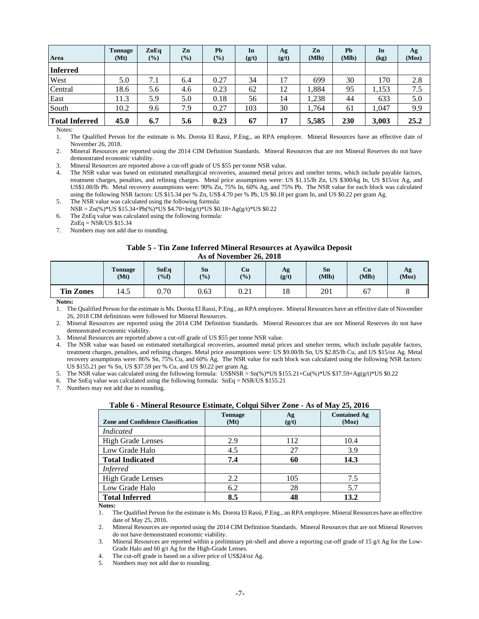| Area                  | <b>Tonnage</b><br>(Mt) | $\mathbf{ZnEq}$<br>(%) | Zn<br>(%) | Pb<br>$(\%)$ | In<br>(g/t) | Ag<br>(g/t) | Zn<br>(M1b) | Ph<br>(Mlb) | In<br>(kg) | Ag<br>(Moz) |
|-----------------------|------------------------|------------------------|-----------|--------------|-------------|-------------|-------------|-------------|------------|-------------|
| Inferred              |                        |                        |           |              |             |             |             |             |            |             |
| West                  | 5.0                    | 7.1                    | 6.4       | 0.27         | 34          | 17          | 699         | 30          | 170        | 2.8         |
| Central               | 18.6                   | 5.6                    | 4.6       | 0.23         | 62          | 12          | 1.884       | 95          | 1,153      | 7.5         |
| East                  | 11.3                   | 5.9                    | 5.0       | 0.18         | 56          | 14          | 1.238       | 44          | 633        | 5.0         |
| South                 | 10.2                   | 9.6                    | 7.9       | 0.27         | 103         | 30          | 1.764       | 61          | 1,047      | 9.9         |
| <b>Total Inferred</b> | 45.0                   | 6.7                    | 5.6       | 0.23         | 67          | 17          | 5,585       | 230         | 3,003      | 25.2        |

Notes:

1. The Qualified Person for the estimate is Ms. Dorota El Rassi, P.Eng., an RPA employee. Mineral Resources have an effective date of November 26, 2018.

2. Mineral Resources are reported using the 2014 CIM Definition Standards. Mineral Resources that are not Mineral Reserves do not have demonstrated economic viability.

3. Mineral Resources are reported above a cut-off grade of US \$55 per tonne NSR value.

4. The NSR value was based on estimated metallurgical recoveries, assumed metal prices and smelter terms, which include payable factors, treatment charges, penalties, and refining charges. Metal price assumptions were: US \$1.15/lb Zn, US \$300/kg In, US \$15/oz Ag, and US\$1.00/lb Pb. Metal recovery assumptions were: 90% Zn, 75% In, 60% Ag, and 75% Pb. The NSR value for each block was calculated using the following NSR factors: US \$15.34 per % Zn, US\$ 4.70 per % Pb, US \$0.18 per gram In, and US \$0.22 per gram Ag.

5. The NSR value was calculated using the following formula:

 $NSR = Zn(\%)^*US$  \$15.34+Pb(%)\*US \$4.70+In(g/t)\*US \$0.18+Ag(g/t)\*US \$0.22

6. The ZnEq value was calculated using the following formula:

ZnEq = NSR/US \$15.34

7. Numbers may not add due to rounding.

#### **Table 5 - Tin Zone Inferred Mineral Resources at Ayawilca Deposit As of November 26, 2018**

|                  | <b>Tonnage</b> | <b>SnEq</b> | Sn   | Cu     | Ag    | Sn    | Сu    | Ag    |
|------------------|----------------|-------------|------|--------|-------|-------|-------|-------|
|                  | (Mt)           | $(\%f)$     | (%)  | $(\%)$ | (g/t) | (Mlb) | (Mlb) | (Moz) |
| <b>Tin Zones</b> | 14.5           | 0.70        | 0.63 | 0.21   | 18    | 201   | 67    |       |

**Notes:**

1. The Qualified Person for the estimate is Ms. Dorota El Rassi, P.Eng., an RPA employee. Mineral Resources have an effective date of November 26, 2018 CIM definitions were followed for Mineral Resources.

- 2. Mineral Resources are reported using the 2014 CIM Definition Standards. Mineral Resources that are not Mineral Reserves do not have demonstrated economic viability.
- 3. Mineral Resources are reported above a cut-off grade of US \$55 per tonne NSR value.

4. The NSR value was based on estimated metallurgical recoveries, assumed metal prices and smelter terms, which include payable factors, treatment charges, penalties, and refining charges. Metal price assumptions were: US \$9.00/lb Sn, US \$2.85/lb Cu, and US \$15/oz Ag. Metal recovery assumptions were: 86% Sn, 75% Cu, and 60% Ag. The NSR value for each block was calculated using the following NSR factors: US \$155.21 per % Sn, US \$37.59 per % Cu, and US \$0.22 per gram Ag.

5. The NSR value was calculated using the following formula: US\$NSR = Sn(%)\*US \$155.21+Cu(%)\*US \$37.59+Ag(g/t)\*US \$0.22

6. The SnEq value was calculated using the following formula: SnEq = NSR/US \$155.21

7. Numbers may not add due to rounding.

#### **Table 6 - Mineral Resource Estimate, Colqui Silver Zone - As of May 25, 2016**

| <b>Zone and Confidence Classification</b> | <b>Tonnage</b><br>(Mt) | Ag<br>(g/t) | <b>Contained Ag</b><br>(Moz) |
|-------------------------------------------|------------------------|-------------|------------------------------|
| <i>Indicated</i>                          |                        |             |                              |
| <b>High Grade Lenses</b>                  | 2.9                    | 112         | 10.4                         |
| Low Grade Halo                            | 4.5                    | 27          | 3.9                          |
| <b>Total Indicated</b>                    | 7.4                    | 60          | 14.3                         |
| <i>Inferred</i>                           |                        |             |                              |
| <b>High Grade Lenses</b>                  | 2.2                    | 105         | 7.5                          |
| Low Grade Halo                            | 6.2                    | 28          | 5.7                          |
| <b>Total Inferred</b>                     | 8.5                    | 48          | 13.2                         |

**Notes:**

1. The Qualified Person for the estimate is Ms. Dorota El Rassi, P.Eng., an RPA employee. Mineral Resources have an effective date of May 25, 2016.

2. Mineral Resources are reported using the 2014 CIM Definition Standards. Mineral Resources that are not Mineral Reserves do not have demonstrated economic viability.

3. Mineral Resources are reported within a preliminary pit-shell and above a reporting cut-off grade of 15 g/t Ag for the Low-Grade Halo and 60 g/t Ag for the High-Grade Lenses.

4. The cut-off grade is based on a silver price of US\$24/oz Ag.

5. Numbers may not add due to rounding.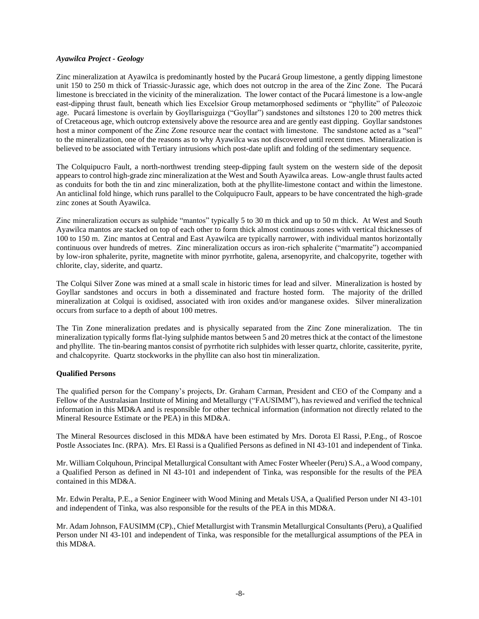### *Ayawilca Project - Geology*

Zinc mineralization at Ayawilca is predominantly hosted by the Pucará Group limestone, a gently dipping limestone unit 150 to 250 m thick of Triassic-Jurassic age, which does not outcrop in the area of the Zinc Zone. The Pucará limestone is brecciated in the vicinity of the mineralization. The lower contact of the Pucará limestone is a low-angle east-dipping thrust fault, beneath which lies Excelsior Group metamorphosed sediments or "phyllite" of Paleozoic age. Pucará limestone is overlain by Goyllarisguizga ("Goyllar") sandstones and siltstones 120 to 200 metres thick of Cretaceous age, which outcrop extensively above the resource area and are gently east dipping. Goyllar sandstones host a minor component of the Zinc Zone resource near the contact with limestone. The sandstone acted as a "seal" to the mineralization, one of the reasons as to why Ayawilca was not discovered until recent times. Mineralization is believed to be associated with Tertiary intrusions which post-date uplift and folding of the sedimentary sequence.

The Colquipucro Fault, a north-northwest trending steep-dipping fault system on the western side of the deposit appears to control high-grade zinc mineralization at the West and South Ayawilca areas. Low-angle thrust faults acted as conduits for both the tin and zinc mineralization, both at the phyllite-limestone contact and within the limestone. An anticlinal fold hinge, which runs parallel to the Colquipucro Fault, appears to be have concentrated the high-grade zinc zones at South Ayawilca.

Zinc mineralization occurs as sulphide "mantos" typically 5 to 30 m thick and up to 50 m thick. At West and South Ayawilca mantos are stacked on top of each other to form thick almost continuous zones with vertical thicknesses of 100 to 150 m. Zinc mantos at Central and East Ayawilca are typically narrower, with individual mantos horizontally continuous over hundreds of metres. Zinc mineralization occurs as iron-rich sphalerite ("marmatite") accompanied by low-iron sphalerite, pyrite, magnetite with minor pyrrhotite, galena, arsenopyrite, and chalcopyrite, together with chlorite, clay, siderite, and quartz.

The Colqui Silver Zone was mined at a small scale in historic times for lead and silver. Mineralization is hosted by Goyllar sandstones and occurs in both a disseminated and fracture hosted form. The majority of the drilled mineralization at Colqui is oxidised, associated with iron oxides and/or manganese oxides. Silver mineralization occurs from surface to a depth of about 100 metres.

The Tin Zone mineralization predates and is physically separated from the Zinc Zone mineralization. The tin mineralization typically forms flat-lying sulphide mantos between 5 and 20 metres thick at the contact of the limestone and phyllite. The tin-bearing mantos consist of pyrrhotite rich sulphides with lesser quartz, chlorite, cassiterite, pyrite, and chalcopyrite. Quartz stockworks in the phyllite can also host tin mineralization.

### **Qualified Persons**

The qualified person for the Company's projects, Dr. Graham Carman, President and CEO of the Company and a Fellow of the Australasian Institute of Mining and Metallurgy ("FAUSIMM"), has reviewed and verified the technical information in this MD&A and is responsible for other technical information (information not directly related to the Mineral Resource Estimate or the PEA) in this MD&A.

The Mineral Resources disclosed in this MD&A have been estimated by Mrs. Dorota El Rassi, P.Eng., of Roscoe Postle Associates Inc. (RPA). Mrs. El Rassi is a Qualified Persons as defined in NI 43-101 and independent of Tinka.

Mr. William Colquhoun, Principal Metallurgical Consultant with Amec Foster Wheeler (Peru) S.A., a Wood company, a Qualified Person as defined in NI 43-101 and independent of Tinka, was responsible for the results of the PEA contained in this MD&A.

Mr. Edwin Peralta, P.E., a Senior Engineer with Wood Mining and Metals USA, a Qualified Person under NI 43-101 and independent of Tinka, was also responsible for the results of the PEA in this MD&A.

Mr. Adam Johnson, FAUSIMM (CP)., Chief Metallurgist with Transmin Metallurgical Consultants (Peru), a Qualified Person under NI 43-101 and independent of Tinka, was responsible for the metallurgical assumptions of the PEA in this MD&A.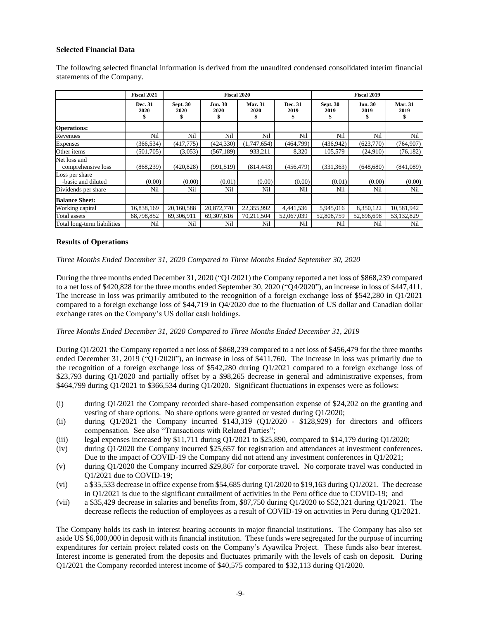### **Selected Financial Data**

The following selected financial information is derived from the unaudited condensed consolidated interim financial statements of the Company.

|                                      | <b>Fiscal 2021</b>    | <b>Fiscal 2020</b>            |                       |                        | <b>Fiscal 2019</b>    |                               |                              |                        |
|--------------------------------------|-----------------------|-------------------------------|-----------------------|------------------------|-----------------------|-------------------------------|------------------------------|------------------------|
|                                      | Dec. 31<br>2020<br>\$ | <b>Sept. 30</b><br>2020<br>\$ | Jun. 30<br>2020<br>\$ | <b>Mar. 31</b><br>2020 | Dec. 31<br>2019<br>\$ | <b>Sept. 30</b><br>2019<br>\$ | <b>Jun. 30</b><br>2019<br>\$ | <b>Mar. 31</b><br>2019 |
| <b>Operations:</b>                   |                       |                               |                       |                        |                       |                               |                              |                        |
| Revenues                             | Nil                   | Nil                           | Nil                   | Nil                    | Nil                   | Nil                           | Nil                          | Nil                    |
| <b>Expenses</b>                      | (366, 534)            | (417, 775)                    | (424, 330)            | (1,747,654)            | (464,799)             | (436, 942)                    | (623,770)                    | (764, 907)             |
| Other items                          | (501,705)             | (3,053)                       | (567, 189)            | 933,211                | 8,320                 | 105,579                       | (24,910)                     | (76, 182)              |
| Net loss and<br>comprehensive loss   | (868, 239)            | (420, 828)                    | (991, 519)            | (814, 443)             | (456, 479)            | (331, 363)                    | (648, 680)                   | (841,089)              |
| Loss per share<br>-basic and diluted | (0.00)                | (0.00)                        | (0.01)                | (0.00)                 | (0.00)                | (0.01)                        | (0.00)                       | (0.00)                 |
| Dividends per share                  | Nil                   | Nil                           | Nil                   | Nil                    | Nil                   | Nil                           | Nil                          | Nil                    |
| <b>Balance Sheet:</b>                |                       |                               |                       |                        |                       |                               |                              |                        |
| Working capital                      | 16,838,169            | 20,160,588                    | 20,872,770            | 22,355,992             | 4,441,536             | 5,945,016                     | 8,350,122                    | 10,581,942             |
| Total assets                         | 68,798,852            | 69,306,911                    | 69,307,616            | 70,211,504             | 52,067,039            | 52,808,759                    | 52,696,698                   | 53,132,829             |
| Total long-term liabilities          | Nil                   | Nil                           | Nil                   | Nil                    | Nil                   | Nil                           | Nil                          | Nil                    |

### **Results of Operations**

*Three Months Ended December 31, 2020 Compared to Three Months Ended September 30, 2020*

During the three months ended December 31, 2020 ("Q1/2021) the Company reported a net loss of \$868,239 compared to a net loss of \$420,828 for the three months ended September 30, 2020 ("Q4/2020"), an increase in loss of \$447,411. The increase in loss was primarily attributed to the recognition of a foreign exchange loss of \$542,280 in Q1/2021 compared to a foreign exchange loss of \$44,719 in Q4/2020 due to the fluctuation of US dollar and Canadian dollar exchange rates on the Company's US dollar cash holdings.

### *Three Months Ended December 31, 2020 Compared to Three Months Ended December 31, 2019*

During Q1/2021 the Company reported a net loss of \$868,239 compared to a net loss of \$456,479 for the three months ended December 31, 2019 ("Q1/2020"), an increase in loss of \$411,760. The increase in loss was primarily due to the recognition of a foreign exchange loss of \$542,280 during Q1/2021 compared to a foreign exchange loss of \$23,793 during Q1/2020 and partially offset by a \$98,265 decrease in general and administrative expenses, from \$464,799 during Q1/2021 to \$366,534 during Q1/2020. Significant fluctuations in expenses were as follows:

- (i) during Q1/2021 the Company recorded share-based compensation expense of \$24,202 on the granting and vesting of share options. No share options were granted or vested during Q1/2020;
- (ii) during Q1/2021 the Company incurred \$143,319 (Q1/2020 \$128,929) for directors and officers compensation. See also "Transactions with Related Parties";
- (iii) legal expenses increased by \$11,711 during Q1/2021 to \$25,890, compared to \$14,179 during Q1/2020;
- (iv) during Q1/2020 the Company incurred \$25,657 for registration and attendances at investment conferences. Due to the impact of COVID-19 the Company did not attend any investment conferences in Q1/2021;
- (v) during Q1/2020 the Company incurred \$29,867 for corporate travel. No corporate travel was conducted in Q1/2021 due to COVID-19;
- (vi) a \$35,533 decrease in office expense from \$54,685 during Q1/2020 to \$19,163 during Q1/2021. The decrease in Q1/2021 is due to the significant curtailment of activities in the Peru office due to COVID-19; and
- (vii) a \$35,429 decrease in salaries and benefits from, \$87,750 during Q1/2020 to \$52,321 during Q1/2021. The decrease reflects the reduction of employees as a result of COVID-19 on activities in Peru during Q1/2021.

The Company holds its cash in interest bearing accounts in major financial institutions. The Company has also set aside US \$6,000,000 in deposit with its financial institution. These funds were segregated for the purpose of incurring expenditures for certain project related costs on the Company's Ayawilca Project. These funds also bear interest. Interest income is generated from the deposits and fluctuates primarily with the levels of cash on deposit. During Q1/2021 the Company recorded interest income of \$40,575 compared to \$32,113 during Q1/2020.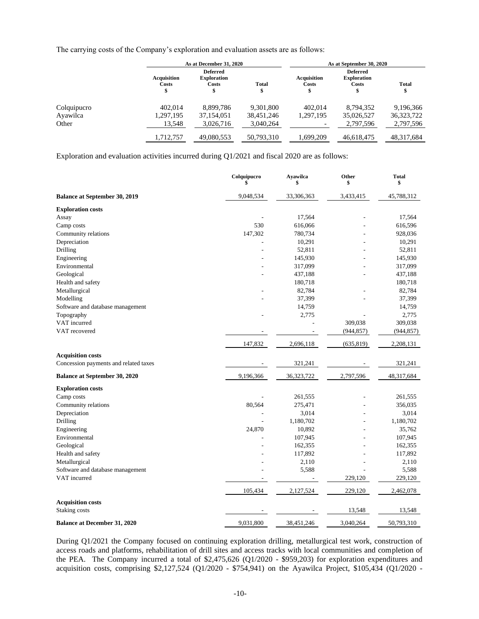The carrying costs of the Company's exploration and evaluation assets are as follows:

|             |                                   | As at December 31, 2020                        |              | As at September 30, 2020 |                                                |              |  |
|-------------|-----------------------------------|------------------------------------------------|--------------|--------------------------|------------------------------------------------|--------------|--|
|             | <b>Acquisition</b><br>Costs<br>\$ | <b>Deferred</b><br><b>Exploration</b><br>Costs | <b>Total</b> | Acquisition<br>Costs     | <b>Deferred</b><br><b>Exploration</b><br>Costs | <b>Total</b> |  |
| Colquipucro | 402,014                           | 8.899.786                                      | 9.301.800    | 402.014                  | 8.794.352                                      | 9,196,366    |  |
| Ayawilca    | 1,297,195                         | 37,154,051                                     | 38,451,246   | 1,297,195                | 35,026,527                                     | 36, 323, 722 |  |
| Other       | 13,548                            | 3,026,716                                      | 3,040,264    |                          | 2,797,596                                      | 2,797,596    |  |
|             | 1,712,757                         | 49,080,553                                     | 50,793,310   | 1,699,209                | 46,618,475                                     | 48, 317, 684 |  |

Exploration and evaluation activities incurred during Q1/2021 and fiscal 2020 are as follows:

|                                       | Colquipucro<br>\$ | <b>Ayawilca</b><br>\$ | Other<br>\$ | <b>Total</b><br>\$ |
|---------------------------------------|-------------------|-----------------------|-------------|--------------------|
| <b>Balance at September 30, 2019</b>  | 9,048,534         | 33,306,363            | 3,433,415   | 45,788,312         |
| <b>Exploration costs</b>              |                   |                       |             |                    |
| Assay                                 |                   | 17,564                |             | 17,564             |
| Camp costs                            | 530               | 616,066               |             | 616,596            |
| Community relations                   | 147,302           | 780,734               |             | 928,036            |
| Depreciation                          |                   | 10,291                |             | 10,291             |
| Drilling                              |                   | 52,811                |             | 52,811             |
| Engineering                           |                   | 145,930               |             | 145,930            |
| Environmental                         |                   | 317,099               |             | 317,099            |
| Geological                            |                   | 437,188               |             | 437,188            |
| Health and safety                     |                   | 180,718               |             | 180,718            |
| Metallurgical                         |                   | 82,784                |             | 82,784             |
| Modelling                             |                   | 37,399                |             | 37,399             |
| Software and database management      |                   | 14,759                |             | 14,759             |
| Topography                            |                   | 2,775                 |             | 2,775              |
| VAT incurred                          |                   |                       | 309,038     | 309,038            |
| VAT recovered                         |                   |                       | (944, 857)  | (944, 857)         |
|                                       | 147,832           | 2,696,118             | (635, 819)  | 2,208,131          |
| <b>Acquisition costs</b>              |                   |                       |             |                    |
| Concession payments and related taxes |                   | 321,241               |             | 321,241            |
| <b>Balance at September 30, 2020</b>  | 9,196,366         | 36, 323, 722          | 2,797,596   | 48,317,684         |
| <b>Exploration costs</b>              |                   |                       |             |                    |
| Camp costs                            |                   | 261,555               |             | 261,555            |
| Community relations                   | 80,564            | 275,471               |             | 356,035            |
| Depreciation                          |                   | 3,014                 |             | 3,014              |
| Drilling                              |                   | 1,180,702             |             | 1,180,702          |
| Engineering                           | 24,870            | 10,892                |             | 35,762             |
| Environmental                         |                   | 107,945               |             | 107,945            |
| Geological                            |                   | 162,355               |             | 162,355            |
| Health and safety                     |                   | 117,892               |             | 117,892            |
| Metallurgical                         |                   | 2,110                 |             | 2,110              |
| Software and database management      |                   | 5,588                 |             | 5,588              |
| VAT incurred                          |                   |                       | 229,120     | 229,120            |
|                                       | 105,434           | 2,127,524             | 229,120     | 2,462,078          |
| <b>Acquisition costs</b>              |                   |                       |             |                    |
| Staking costs                         |                   |                       | 13,548      | 13,548             |
| <b>Balance at December 31, 2020</b>   | 9,031,800         | 38,451,246            | 3.040.264   | 50,793,310         |

During Q1/2021 the Company focused on continuing exploration drilling, metallurgical test work, construction of access roads and platforms, rehabilitation of drill sites and access tracks with local communities and completion of the PEA. The Company incurred a total of \$2,475,626 (Q1/2020 - \$959,203) for exploration expenditures and acquisition costs, comprising \$2,127,524 (Q1/2020 - \$754,941) on the Ayawilca Project, \$105,434 (Q1/2020 -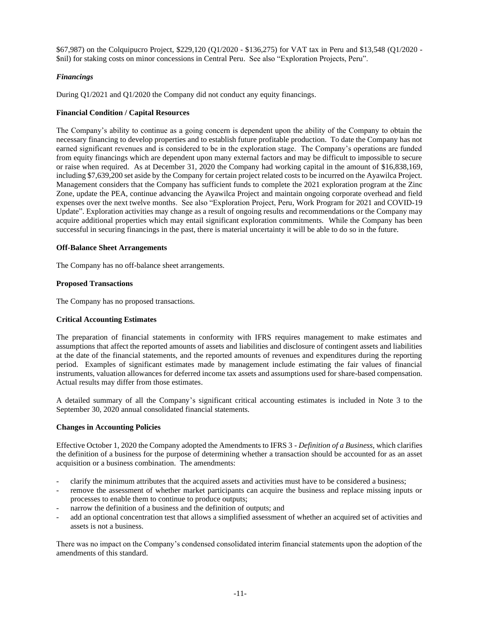\$67,987) on the Colquipucro Project, \$229,120 (Q1/2020 - \$136,275) for VAT tax in Peru and \$13,548 (Q1/2020 - \$nil) for staking costs on minor concessions in Central Peru. See also "Exploration Projects, Peru".

# *Financings*

During Q1/2021 and Q1/2020 the Company did not conduct any equity financings.

# **Financial Condition / Capital Resources**

The Company's ability to continue as a going concern is dependent upon the ability of the Company to obtain the necessary financing to develop properties and to establish future profitable production. To date the Company has not earned significant revenues and is considered to be in the exploration stage. The Company's operations are funded from equity financings which are dependent upon many external factors and may be difficult to impossible to secure or raise when required. As at December 31, 2020 the Company had working capital in the amount of \$16,838,169, including \$7,639,200 set aside by the Company for certain project related costs to be incurred on the Ayawilca Project. Management considers that the Company has sufficient funds to complete the 2021 exploration program at the Zinc Zone, update the PEA, continue advancing the Ayawilca Project and maintain ongoing corporate overhead and field expenses over the next twelve months. See also "Exploration Project, Peru, Work Program for 2021 and COVID-19 Update". Exploration activities may change as a result of ongoing results and recommendations or the Company may acquire additional properties which may entail significant exploration commitments. While the Company has been successful in securing financings in the past, there is material uncertainty it will be able to do so in the future.

# **Off-Balance Sheet Arrangements**

The Company has no off-balance sheet arrangements.

# **Proposed Transactions**

The Company has no proposed transactions.

# **Critical Accounting Estimates**

The preparation of financial statements in conformity with IFRS requires management to make estimates and assumptions that affect the reported amounts of assets and liabilities and disclosure of contingent assets and liabilities at the date of the financial statements, and the reported amounts of revenues and expenditures during the reporting period. Examples of significant estimates made by management include estimating the fair values of financial instruments, valuation allowances for deferred income tax assets and assumptions used for share-based compensation. Actual results may differ from those estimates.

A detailed summary of all the Company's significant critical accounting estimates is included in Note 3 to the September 30, 2020 annual consolidated financial statements.

# **Changes in Accounting Policies**

Effective October 1, 2020 the Company adopted the Amendments to IFRS 3 - *Definition of a Business,* which clarifies the definition of a business for the purpose of determining whether a transaction should be accounted for as an asset acquisition or a business combination. The amendments:

- clarify the minimum attributes that the acquired assets and activities must have to be considered a business;
- remove the assessment of whether market participants can acquire the business and replace missing inputs or processes to enable them to continue to produce outputs;
- narrow the definition of a business and the definition of outputs; and
- add an optional concentration test that allows a simplified assessment of whether an acquired set of activities and assets is not a business.

There was no impact on the Company's condensed consolidated interim financial statements upon the adoption of the amendments of this standard.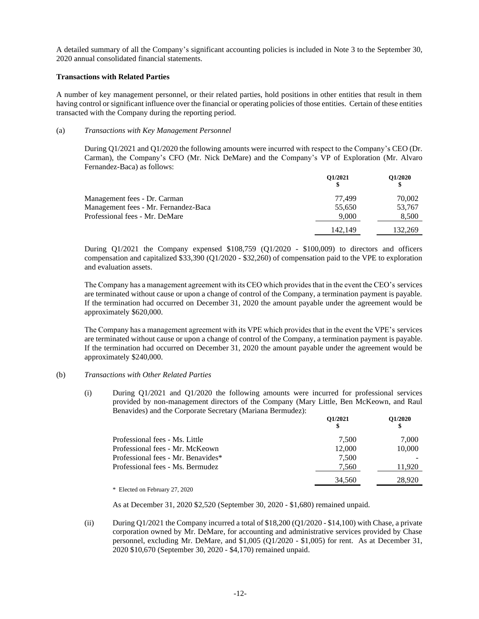A detailed summary of all the Company's significant accounting policies is included in Note 3 to the September 30, 2020 annual consolidated financial statements.

### **Transactions with Related Parties**

A number of key management personnel, or their related parties, hold positions in other entities that result in them having control or significant influence over the financial or operating policies of those entities. Certain of these entities transacted with the Company during the reporting period.

### (a) *Transactions with Key Management Personnel*

During Q1/2021 and Q1/2020 the following amounts were incurred with respect to the Company's CEO (Dr. Carman), the Company's CFO (Mr. Nick DeMare) and the Company's VP of Exploration (Mr. Alvaro Fernandez-Baca) as follows:

|                                      | O1/2021 | O1/2020 |
|--------------------------------------|---------|---------|
| Management fees - Dr. Carman         | 77.499  | 70,002  |
| Management fees - Mr. Fernandez-Baca | 55,650  | 53,767  |
| Professional fees - Mr. DeMare       | 9.000   | 8.500   |
|                                      | 142,149 | 132.269 |

During Q1/2021 the Company expensed \$108,759 (Q1/2020 - \$100,009) to directors and officers compensation and capitalized \$33,390 (Q1/2020 - \$32,260) of compensation paid to the VPE to exploration and evaluation assets.

The Company has a management agreement with its CEO which provides that in the event the CEO's services are terminated without cause or upon a change of control of the Company, a termination payment is payable. If the termination had occurred on December 31, 2020 the amount payable under the agreement would be approximately \$620,000.

The Company has a management agreement with its VPE which provides that in the event the VPE's services are terminated without cause or upon a change of control of the Company, a termination payment is payable. If the termination had occurred on December 31, 2020 the amount payable under the agreement would be approximately \$240,000.

# (b) *Transactions with Other Related Parties*

(i) During Q1/2021 and Q1/2020 the following amounts were incurred for professional services provided by non-management directors of the Company (Mary Little, Ben McKeown, and Raul Benavides) and the Corporate Secretary (Mariana Bermudez):

|                                    | O1/2021 | O1/2020 |
|------------------------------------|---------|---------|
| Professional fees - Ms. Little     | 7.500   | 7,000   |
| Professional fees - Mr. McKeown    | 12,000  | 10,000  |
| Professional fees - Mr. Benavides* | 7.500   |         |
| Professional fees - Ms. Bermudez   | 7.560   | 11.920  |
|                                    | 34,560  | 28,920  |

\* Elected on February 27, 2020

As at December 31, 2020 \$2,520 (September 30, 2020 - \$1,680) remained unpaid.

(ii) During  $Q1/2021$  the Company incurred a total of \$18,200 ( $Q1/2020 - $14,100$ ) with Chase, a private corporation owned by Mr. DeMare, for accounting and administrative services provided by Chase personnel, excluding Mr. DeMare, and \$1,005 (Q1/2020 - \$1,005) for rent. As at December 31, 2020 \$10,670 (September 30, 2020 - \$4,170) remained unpaid.